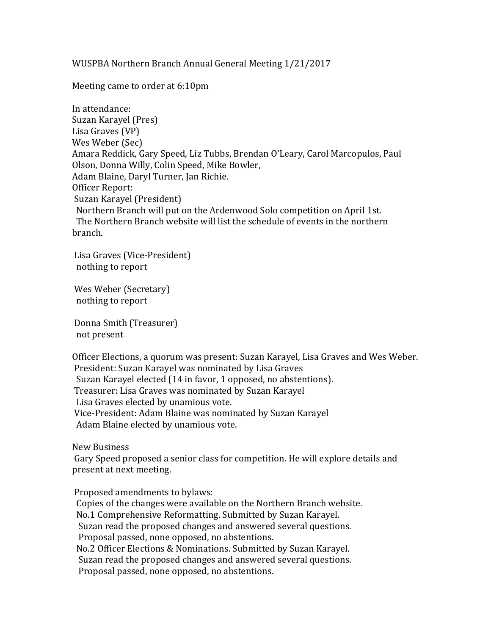WUSPBA Northern Branch Annual General Meeting 1/21/2017

Meeting came to order at 6:10pm

In attendance: Suzan Karayel (Pres) Lisa Graves (VP) Wes Weber (Sec) Amara Reddick, Gary Speed, Liz Tubbs, Brendan O'Leary, Carol Marcopulos, Paul Olson, Donna Willy, Colin Speed, Mike Bowler, Adam Blaine, Daryl Turner, Jan Richie. Officer Report: Suzan Karayel (President) Northern Branch will put on the Ardenwood Solo competition on April 1st. The Northern Branch website will list the schedule of events in the northern branch.

Lisa Graves (Vice-President) nothing to report

Wes Weber (Secretary) nothing to report

Donna Smith (Treasurer) not present

Officer Elections, a quorum was present: Suzan Karayel, Lisa Graves and Wes Weber. President: Suzan Karayel was nominated by Lisa Graves Suzan Karayel elected (14 in favor, 1 opposed, no abstentions). Treasurer: Lisa Graves was nominated by Suzan Karayel Lisa Graves elected by unamious vote. Vice-President: Adam Blaine was nominated by Suzan Karayel Adam Blaine elected by unamious vote.

New Business

Gary Speed proposed a senior class for competition. He will explore details and present at next meeting.

Proposed amendments to bylaws: Copies of the changes were available on the Northern Branch website. No.1 Comprehensive Reformatting. Submitted by Suzan Karayel. Suzan read the proposed changes and answered several questions. Proposal passed, none opposed, no abstentions. No.2 Officer Elections & Nominations. Submitted by Suzan Karayel. Suzan read the proposed changes and answered several questions. Proposal passed, none opposed, no abstentions.